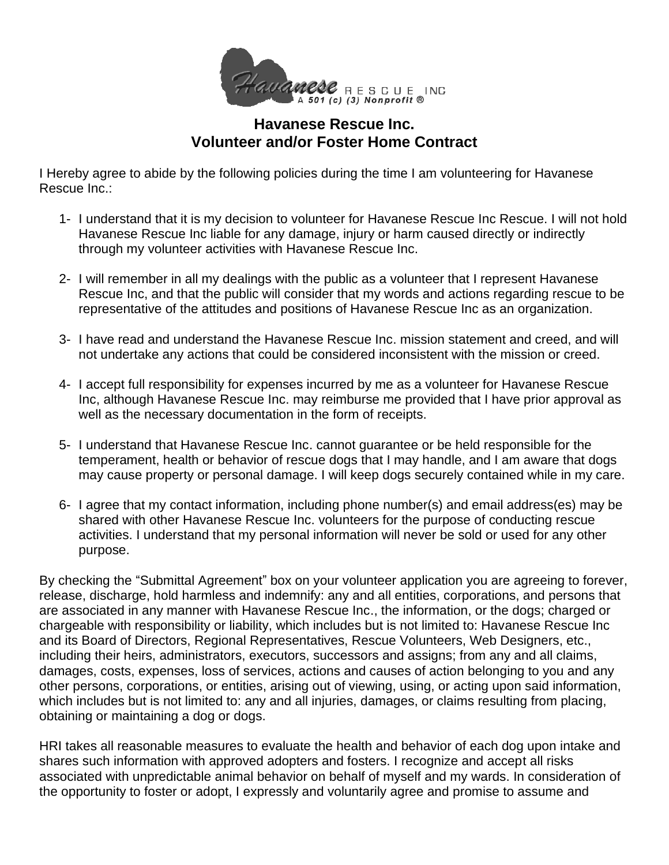

## **Havanese Rescue Inc. Volunteer and/or Foster Home Contract**

I Hereby agree to abide by the following policies during the time I am volunteering for Havanese Rescue Inc.:

- 1- I understand that it is my decision to volunteer for Havanese Rescue Inc Rescue. I will not hold Havanese Rescue Inc liable for any damage, injury or harm caused directly or indirectly through my volunteer activities with Havanese Rescue Inc.
- 2- I will remember in all my dealings with the public as a volunteer that I represent Havanese Rescue Inc, and that the public will consider that my words and actions regarding rescue to be representative of the attitudes and positions of Havanese Rescue Inc as an organization.
- 3- I have read and understand the Havanese Rescue Inc. mission statement and creed, and will not undertake any actions that could be considered inconsistent with the mission or creed.
- 4- I accept full responsibility for expenses incurred by me as a volunteer for Havanese Rescue Inc, although Havanese Rescue Inc. may reimburse me provided that I have prior approval as well as the necessary documentation in the form of receipts.
- 5- I understand that Havanese Rescue Inc. cannot guarantee or be held responsible for the temperament, health or behavior of rescue dogs that I may handle, and I am aware that dogs may cause property or personal damage. I will keep dogs securely contained while in my care.
- 6- I agree that my contact information, including phone number(s) and email address(es) may be shared with other Havanese Rescue Inc. volunteers for the purpose of conducting rescue activities. I understand that my personal information will never be sold or used for any other purpose.

By checking the "Submittal Agreement" box on your volunteer application you are agreeing to forever, release, discharge, hold harmless and indemnify: any and all entities, corporations, and persons that are associated in any manner with Havanese Rescue Inc., the information, or the dogs; charged or chargeable with responsibility or liability, which includes but is not limited to: Havanese Rescue Inc and its Board of Directors, Regional Representatives, Rescue Volunteers, Web Designers, etc., including their heirs, administrators, executors, successors and assigns; from any and all claims, damages, costs, expenses, loss of services, actions and causes of action belonging to you and any other persons, corporations, or entities, arising out of viewing, using, or acting upon said information, which includes but is not limited to: any and all injuries, damages, or claims resulting from placing, obtaining or maintaining a dog or dogs.

HRI takes all reasonable measures to evaluate the health and behavior of each dog upon intake and shares such information with approved adopters and fosters. I recognize and accept all risks associated with unpredictable animal behavior on behalf of myself and my wards. In consideration of the opportunity to foster or adopt, I expressly and voluntarily agree and promise to assume and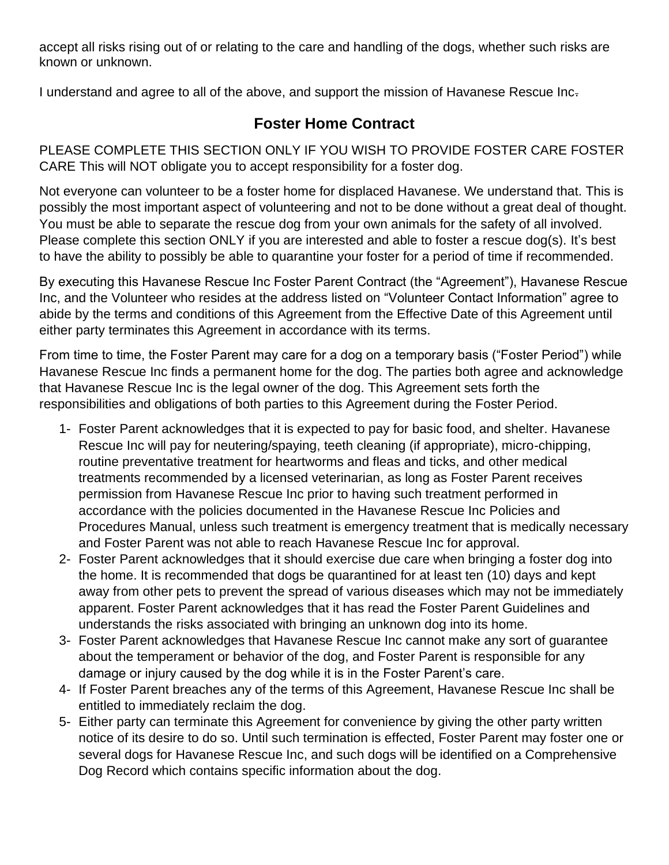accept all risks rising out of or relating to the care and handling of the dogs, whether such risks are known or unknown.

I understand and agree to all of the above, and support the mission of Havanese Rescue Inc.

## **Foster Home Contract**

PLEASE COMPLETE THIS SECTION ONLY IF YOU WISH TO PROVIDE FOSTER CARE FOSTER CARE This will NOT obligate you to accept responsibility for a foster dog.

Not everyone can volunteer to be a foster home for displaced Havanese. We understand that. This is possibly the most important aspect of volunteering and not to be done without a great deal of thought. You must be able to separate the rescue dog from your own animals for the safety of all involved. Please complete this section ONLY if you are interested and able to foster a rescue dog(s). It's best to have the ability to possibly be able to quarantine your foster for a period of time if recommended.

By executing this Havanese Rescue Inc Foster Parent Contract (the "Agreement"), Havanese Rescue Inc, and the Volunteer who resides at the address listed on "Volunteer Contact Information" agree to abide by the terms and conditions of this Agreement from the Effective Date of this Agreement until either party terminates this Agreement in accordance with its terms.

From time to time, the Foster Parent may care for a dog on a temporary basis ("Foster Period") while Havanese Rescue Inc finds a permanent home for the dog. The parties both agree and acknowledge that Havanese Rescue Inc is the legal owner of the dog. This Agreement sets forth the responsibilities and obligations of both parties to this Agreement during the Foster Period.

- 1- Foster Parent acknowledges that it is expected to pay for basic food, and shelter. Havanese Rescue Inc will pay for neutering/spaying, teeth cleaning (if appropriate), micro-chipping, routine preventative treatment for heartworms and fleas and ticks, and other medical treatments recommended by a licensed veterinarian, as long as Foster Parent receives permission from Havanese Rescue Inc prior to having such treatment performed in accordance with the policies documented in the Havanese Rescue Inc Policies and Procedures Manual, unless such treatment is emergency treatment that is medically necessary and Foster Parent was not able to reach Havanese Rescue Inc for approval.
- 2- Foster Parent acknowledges that it should exercise due care when bringing a foster dog into the home. It is recommended that dogs be quarantined for at least ten (10) days and kept away from other pets to prevent the spread of various diseases which may not be immediately apparent. Foster Parent acknowledges that it has read the Foster Parent Guidelines and understands the risks associated with bringing an unknown dog into its home.
- 3- Foster Parent acknowledges that Havanese Rescue Inc cannot make any sort of guarantee about the temperament or behavior of the dog, and Foster Parent is responsible for any damage or injury caused by the dog while it is in the Foster Parent's care.
- 4- If Foster Parent breaches any of the terms of this Agreement, Havanese Rescue Inc shall be entitled to immediately reclaim the dog.
- 5- Either party can terminate this Agreement for convenience by giving the other party written notice of its desire to do so. Until such termination is effected, Foster Parent may foster one or several dogs for Havanese Rescue Inc, and such dogs will be identified on a Comprehensive Dog Record which contains specific information about the dog.